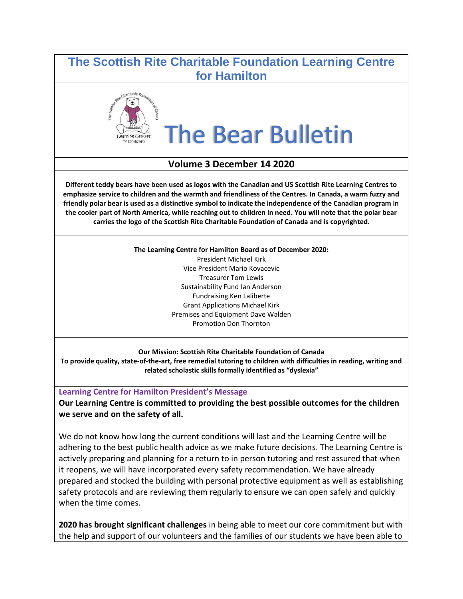# **The Scottish Rite Charitable Foundation Learning Centre for Hamilton**



# The Bear Bulletin

### **Volume 3 December 14 2020**

**Different teddy bears have been used as logos with the Canadian and US Scottish Rite Learning Centres to emphasize service to children and the warmth and friendliness of the Centres. In Canada, a warm fuzzy and friendly polar bear is used as a distinctive symbol to indicate the independence of the Canadian program in the cooler part of North America, while reaching out to children in need. You will note that the polar bear carries the logo of the Scottish Rite Charitable Foundation of Canada and is copyrighted.**

> **The Learning Centre for Hamilton Board as of December 2020:** President Michael Kirk Vice President Mario Kovacevic Treasurer Tom Lewis Sustainability Fund Ian Anderson Fundraising Ken Laliberte Grant Applications Michael Kirk Premises and Equipment Dave Walden Promotion Don Thornton

**Our Mission: Scottish Rite Charitable Foundation of Canada To provide quality, state-of-the-art, free remedial tutoring to children with difficulties in reading, writing and related scholastic skills formally identified as "dyslexia"** 

**Learning Centre for Hamilton President's Message**

**Our Learning Centre is committed to providing the best possible outcomes for the children we serve and on the safety of all.** 

We do not know how long the current conditions will last and the Learning Centre will be adhering to the best public health advice as we make future decisions. The Learning Centre is actively preparing and planning for a return to in person tutoring and rest assured that when it reopens, we will have incorporated every safety recommendation. We have already prepared and stocked the building with personal protective equipment as well as establishing safety protocols and are reviewing them regularly to ensure we can open safely and quickly when the time comes.

**2020 has brought significant challenges** in being able to meet our core commitment but with the help and support of our volunteers and the families of our students we have been able to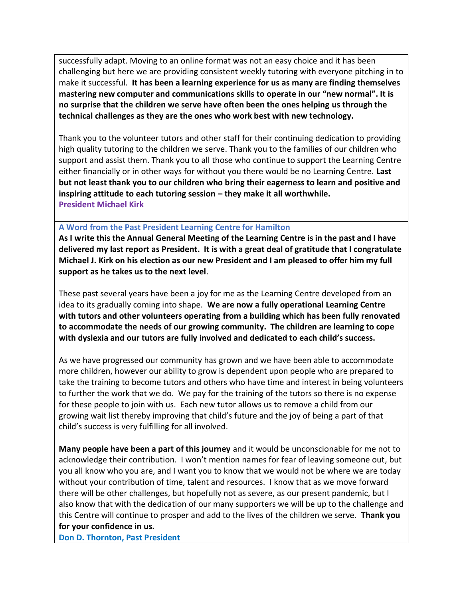successfully adapt. Moving to an online format was not an easy choice and it has been challenging but here we are providing consistent weekly tutoring with everyone pitching in to make it successful. **It has been a learning experience for us as many are finding themselves mastering new computer and communications skills to operate in our "new normal". It is no surprise that the children we serve have often been the ones helping us through the technical challenges as they are the ones who work best with new technology.**

Thank you to the volunteer tutors and other staff for their continuing dedication to providing high quality tutoring to the children we serve. Thank you to the families of our children who support and assist them. Thank you to all those who continue to support the Learning Centre either financially or in other ways for without you there would be no Learning Centre. **Last but not least thank you to our children who bring their eagerness to learn and positive and inspiring attitude to each tutoring session – they make it all worthwhile. President Michael Kirk**

#### **A Word from the Past President Learning Centre for Hamilton**

**As I write this the Annual General Meeting of the Learning Centre is in the past and I have delivered my last report as President. It is with a great deal of gratitude that I congratulate Michael J. Kirk on his election as our new President and I am pleased to offer him my full support as he takes us to the next level**.

These past several years have been a joy for me as the Learning Centre developed from an idea to its gradually coming into shape. **We are now a fully operational Learning Centre with tutors and other volunteers operating from a building which has been fully renovated to accommodate the needs of our growing community. The children are learning to cope with dyslexia and our tutors are fully involved and dedicated to each child's success.**

As we have progressed our community has grown and we have been able to accommodate more children, however our ability to grow is dependent upon people who are prepared to take the training to become tutors and others who have time and interest in being volunteers to further the work that we do. We pay for the training of the tutors so there is no expense for these people to join with us. Each new tutor allows us to remove a child from our growing wait list thereby improving that child's future and the joy of being a part of that child's success is very fulfilling for all involved.

**Many people have been a part of this journey** and it would be unconscionable for me not to acknowledge their contribution. I won't mention names for fear of leaving someone out, but you all know who you are, and I want you to know that we would not be where we are today without your contribution of time, talent and resources. I know that as we move forward there will be other challenges, but hopefully not as severe, as our present pandemic, but I also know that with the dedication of our many supporters we will be up to the challenge and this Centre will continue to prosper and add to the lives of the children we serve. **Thank you for your confidence in us.**

**Don D. Thornton, Past President**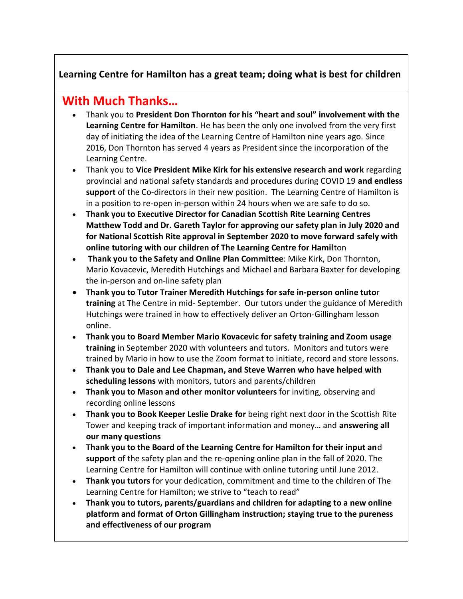### **Learning Centre for Hamilton has a great team; doing what is best for children**

# **With Much Thanks…**

- Thank you to **President Don Thornton for his "heart and soul" involvement with the Learning Centre for Hamilton**. He has been the only one involved from the very first day of initiating the idea of the Learning Centre of Hamilton nine years ago. Since 2016, Don Thornton has served 4 years as President since the incorporation of the Learning Centre.
- Thank you to **Vice President Mike Kirk for his extensive research and work** regarding provincial and national safety standards and procedures during COVID 19 **and endless support** of the Co-directors in their new position. The Learning Centre of Hamilton is in a position to re-open in-person within 24 hours when we are safe to do so.
- **Thank you to Executive Director for Canadian Scottish Rite Learning Centres Matthew Todd and Dr. Gareth Taylor for approving our safety plan in July 2020 and for National Scottish Rite approval in September 2020 to move forward safely with online tutoring with our children of The Learning Centre for Hamil**ton
- **Thank you to the Safety and Online Plan Committee**: Mike Kirk, Don Thornton, Mario Kovacevic, Meredith Hutchings and Michael and Barbara Baxter for developing the in-person and on-line safety plan
- **Thank you to Tutor Trainer Meredith Hutchings for safe in-person online tuto**r **training** at The Centre in mid- September. Our tutors under the guidance of Meredith Hutchings were trained in how to effectively deliver an Orton-Gillingham lesson online.
- **Thank you to Board Member Mario Kovacevic for safety training and Zoom usage training** in September 2020 with volunteers and tutors. Monitors and tutors were trained by Mario in how to use the Zoom format to initiate, record and store lessons.
- **Thank you to Dale and Lee Chapman, and Steve Warren who have helped with scheduling lessons** with monitors, tutors and parents/children
- **Thank you to Mason and other monitor volunteers** for inviting, observing and recording online lessons
- **Thank you to Book Keeper Leslie Drake for** being right next door in the Scottish Rite Tower and keeping track of important information and money… and **answering all our many questions**
- **Thank you to the Board of the Learning Centre for Hamilton for their input an**d **support** of the safety plan and the re-opening online plan in the fall of 2020. The Learning Centre for Hamilton will continue with online tutoring until June 2012.
- **Thank you tutors** for your dedication, commitment and time to the children of The Learning Centre for Hamilton; we strive to "teach to read"
- **Thank you to tutors, parents/guardians and children for adapting to a new online platform and format of Orton Gillingham instruction; staying true to the pureness and effectiveness of our program**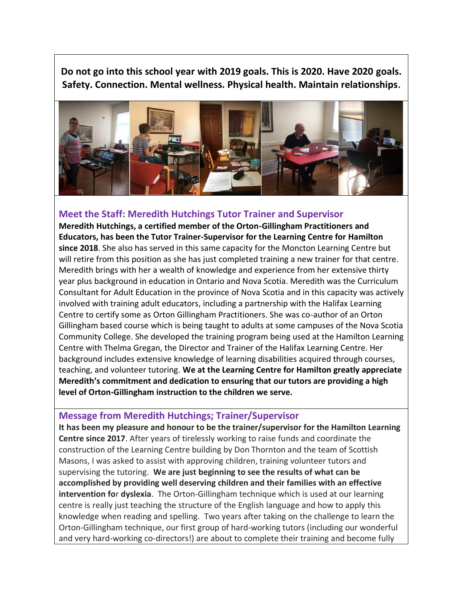**Do not go into this school year with 2019 goals. This is 2020. Have 2020 goals. Safety. Connection. Mental wellness. Physical health. Maintain relationships.**



#### **Meet the Staff: Meredith Hutchings Tutor Trainer and Supervisor**

**Meredith Hutchings, a certified member of the Orton-Gillingham Practitioners and Educators, has been the Tutor Trainer-Supervisor for the Learning Centre for Hamilton since 2018**. She also has served in this same capacity for the Moncton Learning Centre but will retire from this position as she has just completed training a new trainer for that centre. Meredith brings with her a wealth of knowledge and experience from her extensive thirty year plus background in education in Ontario and Nova Scotia. Meredith was the Curriculum Consultant for Adult Education in the province of Nova Scotia and in this capacity was actively involved with training adult educators, including a partnership with the Halifax Learning Centre to certify some as Orton Gillingham Practitioners. She was co-author of an Orton Gillingham based course which is being taught to adults at some campuses of the Nova Scotia Community College. She developed the training program being used at the Hamilton Learning Centre with Thelma Gregan, the Director and Trainer of the Halifax Learning Centre. Her background includes extensive knowledge of learning disabilities acquired through courses, teaching, and volunteer tutoring. **We at the Learning Centre for Hamilton greatly appreciate Meredith's commitment and dedication to ensuring that our tutors are providing a high level of Orton-Gillingham instruction to the children we serve.**

#### **Message from Meredith Hutchings; Trainer/Supervisor**

**It has been my pleasure and honour to be the trainer/supervisor for the Hamilton Learning Centre since 2017**. After years of tirelessly working to raise funds and coordinate the construction of the Learning Centre building by Don Thornton and the team of Scottish Masons, I was asked to assist with approving children, training volunteer tutors and supervising the tutoring. **We are just beginning to see the results of what can be accomplished by providing well deserving children and their families with an effective intervention fo**r **dyslexia**. The Orton-Gillingham technique which is used at our learning centre is really just teaching the structure of the English language and how to apply this knowledge when reading and spelling. Two years after taking on the challenge to learn the Orton-Gillingham technique, our first group of hard-working tutors (including our wonderful and very hard-working co-directors!) are about to complete their training and become fully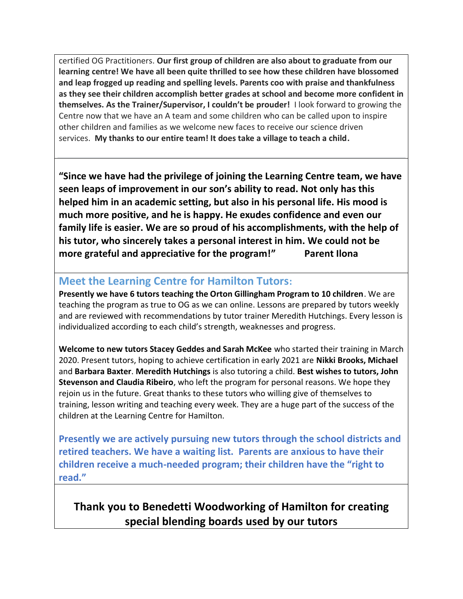certified OG Practitioners. **Our first group of children are also about to graduate from our learning centre! We have all been quite thrilled to see how these children have blossomed and leap frogged up reading and spelling levels. Parents coo with praise and thankfulness as they see their children accomplish better grades at school and become more confident in themselves. As the Trainer/Supervisor, I couldn't be prouder!** I look forward to growing the Centre now that we have an A team and some children who can be called upon to inspire other children and families as we welcome new faces to receive our science driven services. **My thanks to our entire team! It does take a village to teach a child.**

**"Since we have had the privilege of joining the Learning Centre team, we have seen leaps of improvement in our son's ability to read. Not only has this helped him in an academic setting, but also in his personal life. His mood is much more positive, and he is happy. He exudes confidence and even our family life is easier. We are so proud of his accomplishments, with the help of his tutor, who sincerely takes a personal interest in him. We could not be more grateful and appreciative for the program!" Parent Ilona** 

# **Meet the Learning Centre for Hamilton Tutors:**

**Presently we have 6 tutors teaching the Orton Gillingham Program to 10 children**. We are teaching the program as true to OG as we can online. Lessons are prepared by tutors weekly and are reviewed with recommendations by tutor trainer Meredith Hutchings. Every lesson is individualized according to each child's strength, weaknesses and progress.

**Welcome to new tutors Stacey Geddes and Sarah McKee** who started their training in March 2020. Present tutors, hoping to achieve certification in early 2021 are **Nikki Brooks, Michael** and **Barbara Baxter**. **Meredith Hutchings** is also tutoring a child. **Best wishes to tutors, John Stevenson and Claudia Ribeiro**, who left the program for personal reasons. We hope they rejoin us in the future. Great thanks to these tutors who willing give of themselves to training, lesson writing and teaching every week. They are a huge part of the success of the children at the Learning Centre for Hamilton.

**Presently we are actively pursuing new tutors through the school districts and retired teachers. We have a waiting list. Parents are anxious to have their children receive a much-needed program; their children have the "right to read."** 

**Thank you to Benedetti Woodworking of Hamilton for creating special blending boards used by our tutors**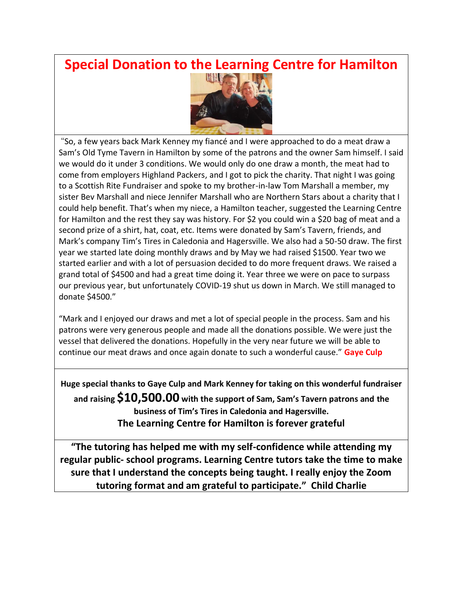# **Special Donation to the Learning Centre for Hamilton**



"So, a few years back Mark Kenney my fiancé and I were approached to do a meat draw a Sam's Old Tyme Tavern in Hamilton by some of the patrons and the owner Sam himself. I said we would do it under 3 conditions. We would only do one draw a month, the meat had to come from employers Highland Packers, and I got to pick the charity. That night I was going to a Scottish Rite Fundraiser and spoke to my brother-in-law Tom Marshall a member, my sister Bev Marshall and niece Jennifer Marshall who are Northern Stars about a charity that I could help benefit. That's when my niece, a Hamilton teacher, suggested the Learning Centre for Hamilton and the rest they say was history. For \$2 you could win a \$20 bag of meat and a second prize of a shirt, hat, coat, etc. Items were donated by Sam's Tavern, friends, and Mark's company Tim's Tires in Caledonia and Hagersville. We also had a 50-50 draw. The first year we started late doing monthly draws and by May we had raised \$1500. Year two we started earlier and with a lot of persuasion decided to do more frequent draws. We raised a grand total of \$4500 and had a great time doing it. Year three we were on pace to surpass our previous year, but unfortunately COVID-19 shut us down in March. We still managed to donate \$4500."

"Mark and I enjoyed our draws and met a lot of special people in the process. Sam and his patrons were very generous people and made all the donations possible. We were just the vessel that delivered the donations. Hopefully in the very near future we will be able to continue our meat draws and once again donate to such a wonderful cause." **Gaye Culp**

**Huge special thanks to Gaye Culp and Mark Kenney for taking on this wonderful fundraiser** 

**and raising \$10,500.00 with the support of Sam, Sam's Tavern patrons and the business of Tim's Tires in Caledonia and Hagersville. The Learning Centre for Hamilton is forever grateful** 

**"The tutoring has helped me with my self-confidence while attending my regular public- school programs. Learning Centre tutors take the time to make sure that I understand the concepts being taught. I really enjoy the Zoom tutoring format and am grateful to participate." Child Charlie**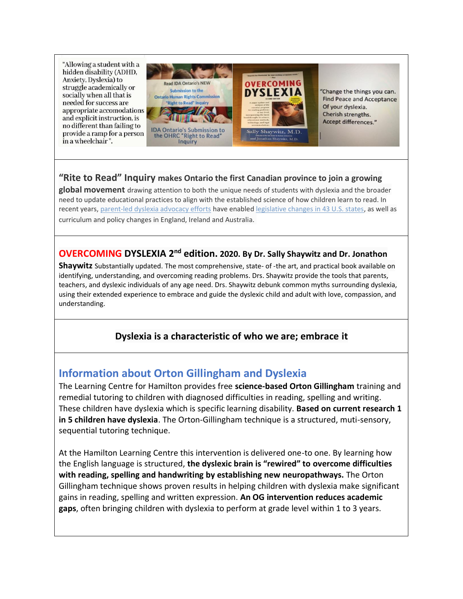"Allowing a student with a hidden disability (ADHD, Anxiety, Dyslexia) to struggle academically or socially when all that is needed for success are appropriate accomodations and explicit instruction, is no different than failing to provide a ramp for a person in a wheelchair".



'Change the things you can. **Find Peace and Acceptance** Of your dyslexia. Cherish strengths. Accept differences."

### **"Rite to Read" Inquiry makes Ontario the first Canadian province to join a growing**

**global movement** drawing attention to both the unique needs of students with dyslexia and the broader need to update educational practices to align with the established science of how children learn to read. In recent years, [parent-led dyslexia advocacy efforts](https://www.idaontario.com/3598-2/) have enabled [legislative changes in 43 U.S. states,](https://improvingliteracy.org/state-of-dyslexia) as well as curriculum and policy changes in England, Ireland and Australia.

## **OVERCOMING DYSLEXIA 2nd edition. 2020. By Dr. Sally Shaywitz and Dr. Jonathon**

**Shaywitz** Substantially updated. The most comprehensive, state- of -the art, and practical book available on identifying, understanding, and overcoming reading problems. Drs. Shaywitz provide the tools that parents, teachers, and dyslexic individuals of any age need. Drs. Shaywitz debunk common myths surrounding dyslexia, using their extended experience to embrace and guide the dyslexic child and adult with love, compassion, and understanding.

### **Dyslexia is a characteristic of who we are; embrace it**

# **Information about Orton Gillingham and Dyslexia**

The Learning Centre for Hamilton provides free **science-based Orton Gillingham** training and remedial tutoring to children with diagnosed difficulties in reading, spelling and writing. These children have dyslexia which is specific learning disability. **Based on current research 1 in 5 children have dyslexia**. The Orton-Gillingham technique is a structured, muti-sensory, sequential tutoring technique.

At the Hamilton Learning Centre this intervention is delivered one-to one. By learning how the English language is structured, **the dyslexic brain is "rewired" to overcome difficulties with reading, spelling and handwriting by establishing new neuropathways.** The Orton Gillingham technique shows proven results in helping children with dyslexia make significant gains in reading, spelling and written expression. **An OG intervention reduces academic gaps**, often bringing children with dyslexia to perform at grade level within 1 to 3 years.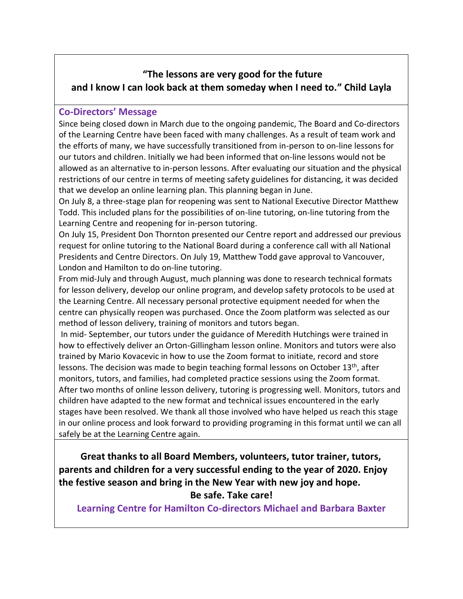# **"The lessons are very good for the future and I know I can look back at them someday when I need to." Child Layla**

### **Co-Directors' Message**

Since being closed down in March due to the ongoing pandemic, The Board and Co-directors of the Learning Centre have been faced with many challenges. As a result of team work and the efforts of many, we have successfully transitioned from in-person to on-line lessons for our tutors and children. Initially we had been informed that on-line lessons would not be allowed as an alternative to in-person lessons. After evaluating our situation and the physical restrictions of our centre in terms of meeting safety guidelines for distancing, it was decided that we develop an online learning plan. This planning began in June.

On July 8, a three-stage plan for reopening was sent to National Executive Director Matthew Todd. This included plans for the possibilities of on-line tutoring, on-line tutoring from the Learning Centre and reopening for in-person tutoring.

On July 15, President Don Thornton presented our Centre report and addressed our previous request for online tutoring to the National Board during a conference call with all National Presidents and Centre Directors. On July 19, Matthew Todd gave approval to Vancouver, London and Hamilton to do on-line tutoring.

From mid-July and through August, much planning was done to research technical formats for lesson delivery, develop our online program, and develop safety protocols to be used at the Learning Centre. All necessary personal protective equipment needed for when the centre can physically reopen was purchased. Once the Zoom platform was selected as our method of lesson delivery, training of monitors and tutors began.

In mid- September, our tutors under the guidance of Meredith Hutchings were trained in how to effectively deliver an Orton-Gillingham lesson online. Monitors and tutors were also trained by Mario Kovacevic in how to use the Zoom format to initiate, record and store lessons. The decision was made to begin teaching formal lessons on October 13<sup>th</sup>, after monitors, tutors, and families, had completed practice sessions using the Zoom format. After two months of online lesson delivery, tutoring is progressing well. Monitors, tutors and children have adapted to the new format and technical issues encountered in the early stages have been resolved. We thank all those involved who have helped us reach this stage in our online process and look forward to providing programing in this format until we can all safely be at the Learning Centre again.

 **Great thanks to all Board Members, volunteers, tutor trainer, tutors, parents and children for a very successful ending to the year of 2020. Enjoy the festive season and bring in the New Year with new joy and hope. Be safe. Take care!**

**Learning Centre for Hamilton Co-directors Michael and Barbara Baxter**